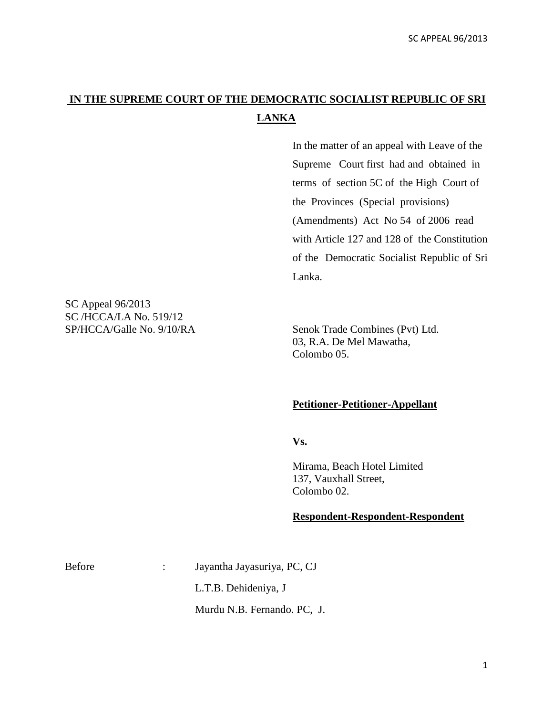## **IN THE SUPREME COURT OF THE DEMOCRATIC SOCIALIST REPUBLIC OF SRI LANKA**

In the matter of an appeal with Leave of the Supreme Court first had and obtained in terms of section 5C of the High Court of the Provinces (Special provisions) (Amendments) Act No 54 of 2006 read with Article 127 and 128 of the Constitution of the Democratic Socialist Republic of Sri Lanka.

SC Appeal 96/2013 SC /HCCA/LA No. 519/12 SP/HCCA/Galle No. 9/10/RA Senok Trade Combines (Pvt) Ltd.

03, R.A. De Mel Mawatha, Colombo 05.

## **Petitioner-Petitioner-Appellant**

**Vs.**

Mirama, Beach Hotel Limited 137, Vauxhall Street, Colombo 02.

## **Respondent-Respondent-Respondent**

Before : Jayantha Jayasuriya, PC, CJ

L.T.B. Dehideniya, J

Murdu N.B. Fernando. PC, J.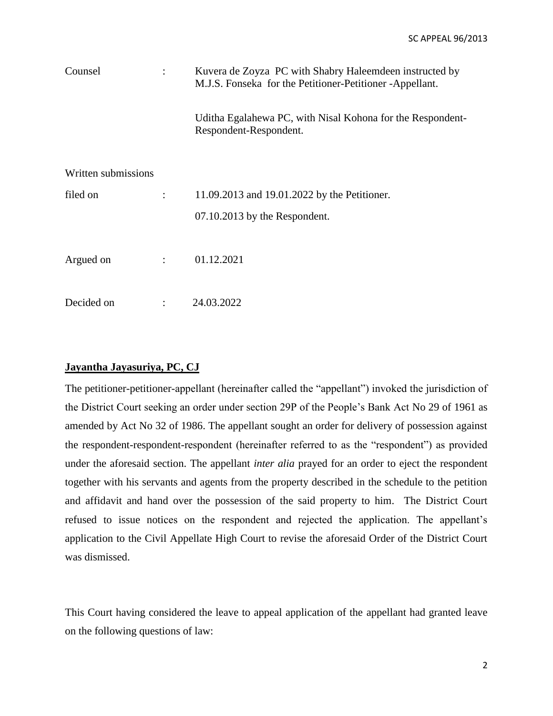| Counsel             |                | Kuvera de Zoyza PC with Shabry Haleemdeen instructed by<br>M.J.S. Fonseka for the Petitioner-Petitioner-Appellant. |
|---------------------|----------------|--------------------------------------------------------------------------------------------------------------------|
|                     |                | Uditha Egalahewa PC, with Nisal Kohona for the Respondent-<br>Respondent-Respondent.                               |
| Written submissions |                |                                                                                                                    |
| filed on            |                | 11.09.2013 and 19.01.2022 by the Petitioner.                                                                       |
|                     |                | 07.10.2013 by the Respondent.                                                                                      |
| Argued on           | $\ddot{\cdot}$ | 01.12.2021                                                                                                         |
| Decided on          | $\ddot{\cdot}$ | 24.03.2022                                                                                                         |

## **Jayantha Jayasuriya, PC, CJ**

The petitioner-petitioner-appellant (hereinafter called the "appellant") invoked the jurisdiction of the District Court seeking an order under section 29P of the People's Bank Act No 29 of 1961 as amended by Act No 32 of 1986. The appellant sought an order for delivery of possession against the respondent-respondent-respondent (hereinafter referred to as the "respondent") as provided under the aforesaid section. The appellant *inter alia* prayed for an order to eject the respondent together with his servants and agents from the property described in the schedule to the petition and affidavit and hand over the possession of the said property to him. The District Court refused to issue notices on the respondent and rejected the application. The appellant's application to the Civil Appellate High Court to revise the aforesaid Order of the District Court was dismissed.

This Court having considered the leave to appeal application of the appellant had granted leave on the following questions of law: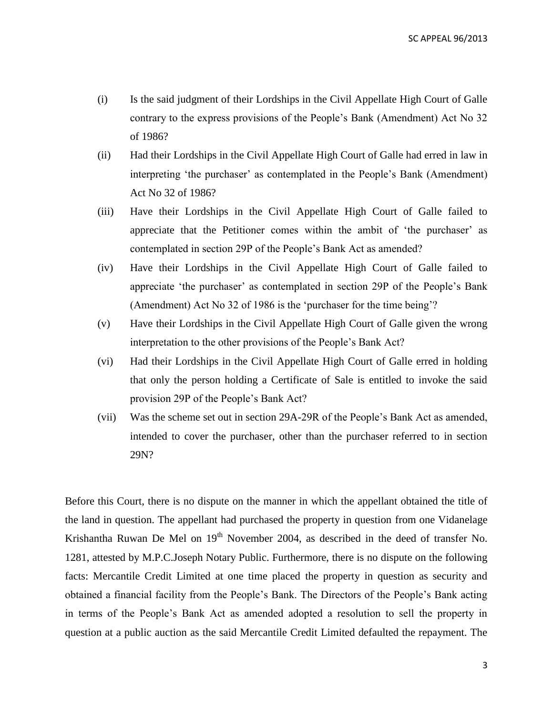- (i) Is the said judgment of their Lordships in the Civil Appellate High Court of Galle contrary to the express provisions of the People's Bank (Amendment) Act No 32 of 1986?
- (ii) Had their Lordships in the Civil Appellate High Court of Galle had erred in law in interpreting 'the purchaser' as contemplated in the People's Bank (Amendment) Act No 32 of 1986?
- (iii) Have their Lordships in the Civil Appellate High Court of Galle failed to appreciate that the Petitioner comes within the ambit of 'the purchaser' as contemplated in section 29P of the People's Bank Act as amended?
- (iv) Have their Lordships in the Civil Appellate High Court of Galle failed to appreciate 'the purchaser' as contemplated in section 29P of the People's Bank (Amendment) Act No 32 of 1986 is the 'purchaser for the time being'?
- (v) Have their Lordships in the Civil Appellate High Court of Galle given the wrong interpretation to the other provisions of the People's Bank Act?
- (vi) Had their Lordships in the Civil Appellate High Court of Galle erred in holding that only the person holding a Certificate of Sale is entitled to invoke the said provision 29P of the People's Bank Act?
- (vii) Was the scheme set out in section 29A-29R of the People's Bank Act as amended, intended to cover the purchaser, other than the purchaser referred to in section 29N?

Before this Court, there is no dispute on the manner in which the appellant obtained the title of the land in question. The appellant had purchased the property in question from one Vidanelage Krishantha Ruwan De Mel on  $19<sup>th</sup>$  November 2004, as described in the deed of transfer No. 1281, attested by M.P.C.Joseph Notary Public. Furthermore, there is no dispute on the following facts: Mercantile Credit Limited at one time placed the property in question as security and obtained a financial facility from the People's Bank. The Directors of the People's Bank acting in terms of the People's Bank Act as amended adopted a resolution to sell the property in question at a public auction as the said Mercantile Credit Limited defaulted the repayment. The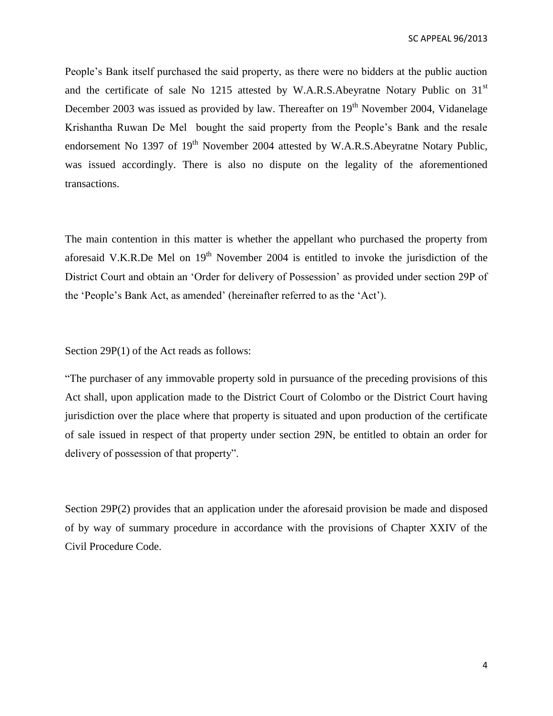People's Bank itself purchased the said property, as there were no bidders at the public auction and the certificate of sale No 1215 attested by W.A.R.S.Abeyratne Notary Public on 31<sup>st</sup> December 2003 was issued as provided by law. Thereafter on 19<sup>th</sup> November 2004, Vidanelage Krishantha Ruwan De Mel bought the said property from the People's Bank and the resale endorsement No 1397 of 19<sup>th</sup> November 2004 attested by W.A.R.S.Abeyratne Notary Public, was issued accordingly. There is also no dispute on the legality of the aforementioned transactions.

The main contention in this matter is whether the appellant who purchased the property from aforesaid V.K.R.De Mel on  $19<sup>th</sup>$  November 2004 is entitled to invoke the jurisdiction of the District Court and obtain an 'Order for delivery of Possession' as provided under section 29P of the 'People's Bank Act, as amended' (hereinafter referred to as the 'Act').

Section 29P(1) of the Act reads as follows:

"The purchaser of any immovable property sold in pursuance of the preceding provisions of this Act shall, upon application made to the District Court of Colombo or the District Court having jurisdiction over the place where that property is situated and upon production of the certificate of sale issued in respect of that property under section 29N, be entitled to obtain an order for delivery of possession of that property".

Section 29P(2) provides that an application under the aforesaid provision be made and disposed of by way of summary procedure in accordance with the provisions of Chapter XXIV of the Civil Procedure Code.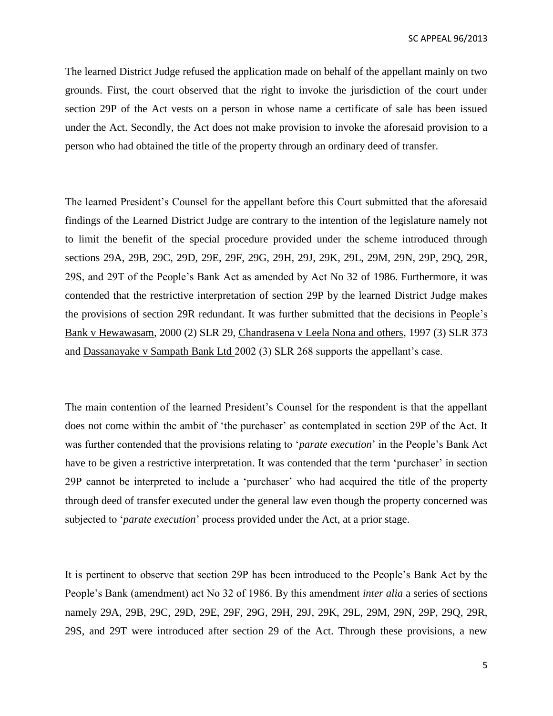The learned District Judge refused the application made on behalf of the appellant mainly on two grounds. First, the court observed that the right to invoke the jurisdiction of the court under section 29P of the Act vests on a person in whose name a certificate of sale has been issued under the Act. Secondly, the Act does not make provision to invoke the aforesaid provision to a person who had obtained the title of the property through an ordinary deed of transfer.

The learned President's Counsel for the appellant before this Court submitted that the aforesaid findings of the Learned District Judge are contrary to the intention of the legislature namely not to limit the benefit of the special procedure provided under the scheme introduced through sections 29A, 29B, 29C, 29D, 29E, 29F, 29G, 29H, 29J, 29K, 29L, 29M, 29N, 29P, 29Q, 29R, 29S, and 29T of the People's Bank Act as amended by Act No 32 of 1986. Furthermore, it was contended that the restrictive interpretation of section 29P by the learned District Judge makes the provisions of section 29R redundant. It was further submitted that the decisions in People's Bank v Hewawasam, 2000 (2) SLR 29, Chandrasena v Leela Nona and others, 1997 (3) SLR 373 and Dassanayake v Sampath Bank Ltd 2002 (3) SLR 268 supports the appellant's case.

The main contention of the learned President's Counsel for the respondent is that the appellant does not come within the ambit of 'the purchaser' as contemplated in section 29P of the Act. It was further contended that the provisions relating to '*parate execution*' in the People's Bank Act have to be given a restrictive interpretation. It was contended that the term 'purchaser' in section 29P cannot be interpreted to include a 'purchaser' who had acquired the title of the property through deed of transfer executed under the general law even though the property concerned was subjected to '*parate execution*' process provided under the Act, at a prior stage.

It is pertinent to observe that section 29P has been introduced to the People's Bank Act by the People's Bank (amendment) act No 32 of 1986. By this amendment *inter alia* a series of sections namely 29A, 29B, 29C, 29D, 29E, 29F, 29G, 29H, 29J, 29K, 29L, 29M, 29N, 29P, 29Q, 29R, 29S, and 29T were introduced after section 29 of the Act. Through these provisions, a new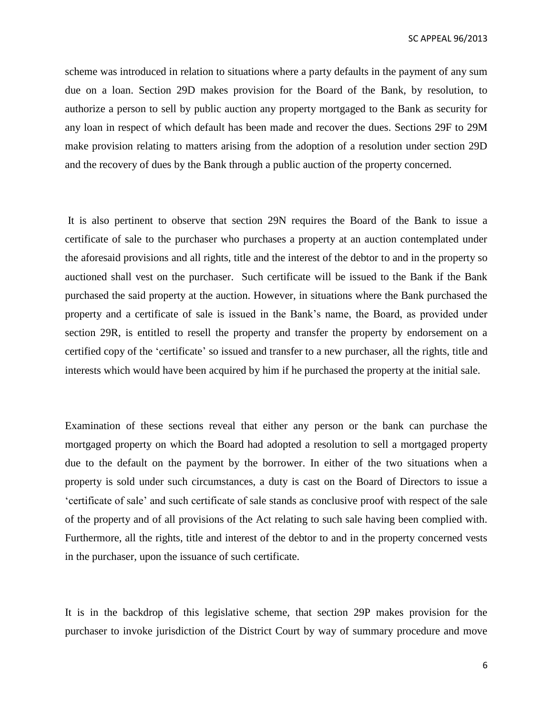scheme was introduced in relation to situations where a party defaults in the payment of any sum due on a loan. Section 29D makes provision for the Board of the Bank, by resolution, to authorize a person to sell by public auction any property mortgaged to the Bank as security for any loan in respect of which default has been made and recover the dues. Sections 29F to 29M make provision relating to matters arising from the adoption of a resolution under section 29D and the recovery of dues by the Bank through a public auction of the property concerned.

It is also pertinent to observe that section 29N requires the Board of the Bank to issue a certificate of sale to the purchaser who purchases a property at an auction contemplated under the aforesaid provisions and all rights, title and the interest of the debtor to and in the property so auctioned shall vest on the purchaser. Such certificate will be issued to the Bank if the Bank purchased the said property at the auction. However, in situations where the Bank purchased the property and a certificate of sale is issued in the Bank's name, the Board, as provided under section 29R, is entitled to resell the property and transfer the property by endorsement on a certified copy of the 'certificate' so issued and transfer to a new purchaser, all the rights, title and interests which would have been acquired by him if he purchased the property at the initial sale.

Examination of these sections reveal that either any person or the bank can purchase the mortgaged property on which the Board had adopted a resolution to sell a mortgaged property due to the default on the payment by the borrower. In either of the two situations when a property is sold under such circumstances, a duty is cast on the Board of Directors to issue a 'certificate of sale' and such certificate of sale stands as conclusive proof with respect of the sale of the property and of all provisions of the Act relating to such sale having been complied with. Furthermore, all the rights, title and interest of the debtor to and in the property concerned vests in the purchaser, upon the issuance of such certificate.

It is in the backdrop of this legislative scheme, that section 29P makes provision for the purchaser to invoke jurisdiction of the District Court by way of summary procedure and move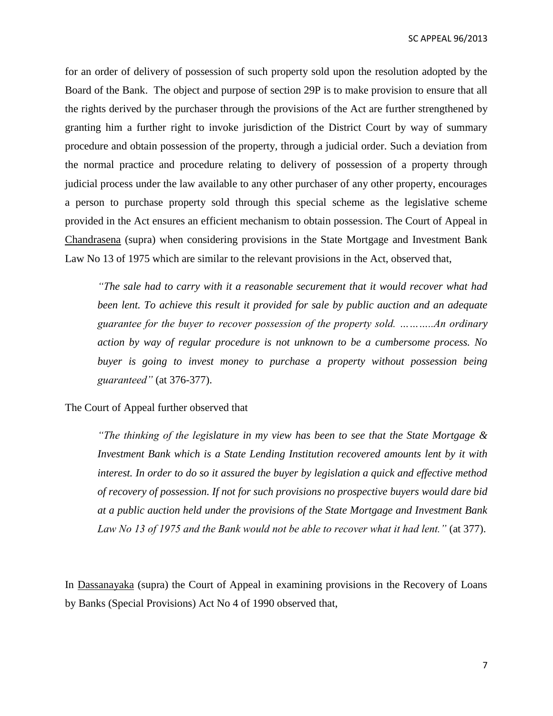for an order of delivery of possession of such property sold upon the resolution adopted by the Board of the Bank. The object and purpose of section 29P is to make provision to ensure that all the rights derived by the purchaser through the provisions of the Act are further strengthened by granting him a further right to invoke jurisdiction of the District Court by way of summary procedure and obtain possession of the property, through a judicial order. Such a deviation from the normal practice and procedure relating to delivery of possession of a property through judicial process under the law available to any other purchaser of any other property, encourages a person to purchase property sold through this special scheme as the legislative scheme provided in the Act ensures an efficient mechanism to obtain possession. The Court of Appeal in Chandrasena (supra) when considering provisions in the State Mortgage and Investment Bank Law No 13 of 1975 which are similar to the relevant provisions in the Act, observed that,

*"The sale had to carry with it a reasonable securement that it would recover what had been lent. To achieve this result it provided for sale by public auction and an adequate guarantee for the buyer to recover possession of the property sold. ………..An ordinary action by way of regular procedure is not unknown to be a cumbersome process. No buyer is going to invest money to purchase a property without possession being guaranteed"* (at 376-377).

The Court of Appeal further observed that

*"The thinking of the legislature in my view has been to see that the State Mortgage & Investment Bank which is a State Lending Institution recovered amounts lent by it with interest. In order to do so it assured the buyer by legislation a quick and effective method of recovery of possession. If not for such provisions no prospective buyers would dare bid at a public auction held under the provisions of the State Mortgage and Investment Bank Law No 13 of 1975 and the Bank would not be able to recover what it had lent."* (at 377).

In Dassanayaka (supra) the Court of Appeal in examining provisions in the Recovery of Loans by Banks (Special Provisions) Act No 4 of 1990 observed that,

7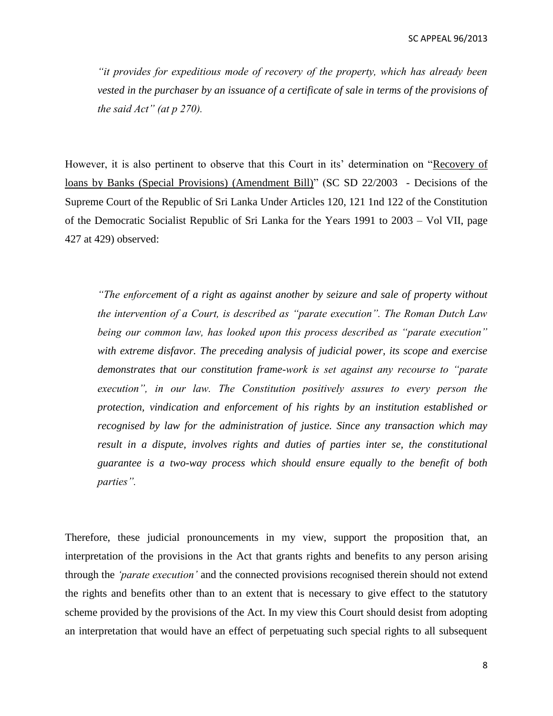*"it provides for expeditious mode of recovery of the property, which has already been vested in the purchaser by an issuance of a certificate of sale in terms of the provisions of the said Act" (at p 270).*

However, it is also pertinent to observe that this Court in its' determination on "Recovery of loans by Banks (Special Provisions) (Amendment Bill)" (SC SD 22/2003 - Decisions of the Supreme Court of the Republic of Sri Lanka Under Articles 120, 121 1nd 122 of the Constitution of the Democratic Socialist Republic of Sri Lanka for the Years 1991 to 2003 – Vol VII, page 427 at 429) observed:

*"The enforcement of a right as against another by seizure and sale of property without the intervention of a Court, is described as "parate execution". The Roman Dutch Law being our common law, has looked upon this process described as "parate execution" with extreme disfavor. The preceding analysis of judicial power, its scope and exercise demonstrates that our constitution frame-work is set against any recourse to "parate*  execution", in our law. The Constitution positively assures to every person the *protection, vindication and enforcement of his rights by an institution established or recognised by law for the administration of justice. Since any transaction which may result in a dispute, involves rights and duties of parties inter se, the constitutional guarantee is a two-way process which should ensure equally to the benefit of both parties".*

Therefore, these judicial pronouncements in my view, support the proposition that, an interpretation of the provisions in the Act that grants rights and benefits to any person arising through the *'parate execution'* and the connected provisions recognised therein should not extend the rights and benefits other than to an extent that is necessary to give effect to the statutory scheme provided by the provisions of the Act. In my view this Court should desist from adopting an interpretation that would have an effect of perpetuating such special rights to all subsequent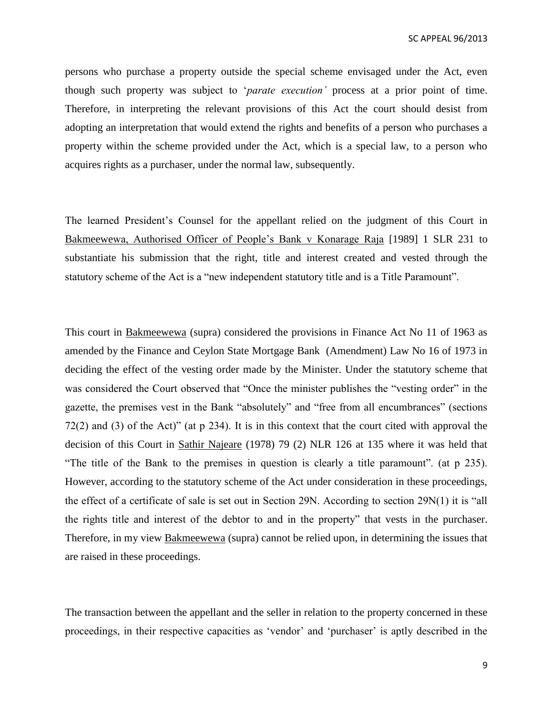persons who purchase a property outside the special scheme envisaged under the Act, even though such property was subject to '*parate execution'* process at a prior point of time. Therefore, in interpreting the relevant provisions of this Act the court should desist from adopting an interpretation that would extend the rights and benefits of a person who purchases a property within the scheme provided under the Act, which is a special law, to a person who acquires rights as a purchaser, under the normal law, subsequently.

The learned President's Counsel for the appellant relied on the judgment of this Court in Bakmeewewa, Authorised Officer of People's Bank v Konarage Raja [1989] 1 SLR 231 to substantiate his submission that the right, title and interest created and vested through the statutory scheme of the Act is a "new independent statutory title and is a Title Paramount".

This court in Bakmeewewa (supra) considered the provisions in Finance Act No 11 of 1963 as amended by the Finance and Ceylon State Mortgage Bank (Amendment) Law No 16 of 1973 in deciding the effect of the vesting order made by the Minister. Under the statutory scheme that was considered the Court observed that "Once the minister publishes the "vesting order" in the gazette, the premises vest in the Bank "absolutely" and "free from all encumbrances" (sections 72(2) and (3) of the Act)" (at p 234). It is in this context that the court cited with approval the decision of this Court in Sathir Najeare (1978) 79 (2) NLR 126 at 135 where it was held that "The title of the Bank to the premises in question is clearly a title paramount". (at p 235). However, according to the statutory scheme of the Act under consideration in these proceedings, the effect of a certificate of sale is set out in Section 29N. According to section 29N(1) it is "all the rights title and interest of the debtor to and in the property" that vests in the purchaser. Therefore, in my view Bakmeewewa (supra) cannot be relied upon, in determining the issues that are raised in these proceedings.

The transaction between the appellant and the seller in relation to the property concerned in these proceedings, in their respective capacities as 'vendor' and 'purchaser' is aptly described in the